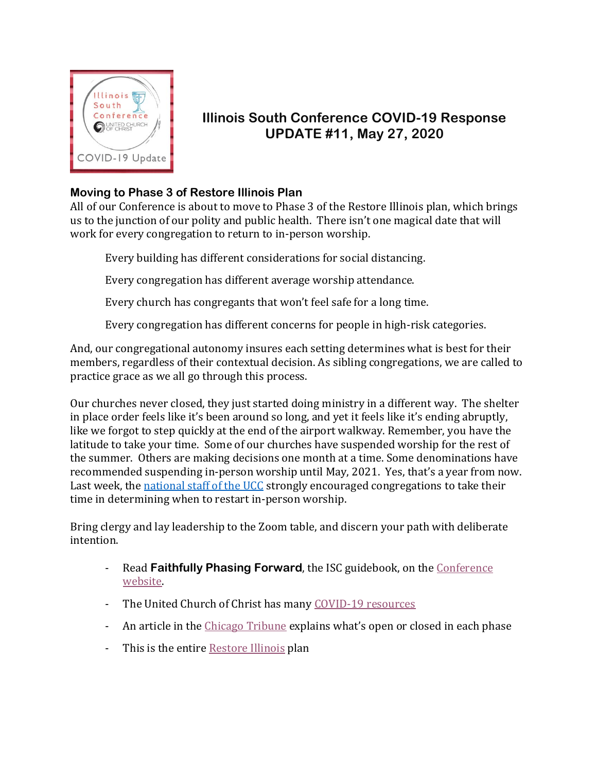

# **Illinois South Conference COVID-19 Response UPDATE #11, May 27, 2020**

# **Moving to Phase 3 of Restore Illinois Plan**

All of our Conference is about to move to Phase 3 of the Restore Illinois plan, which brings us to the junction of our polity and public health. There isn't one magical date that will work for every congregation to return to in-person worship.

Every building has different considerations for social distancing.

Every congregation has different average worship attendance.

Every church has congregants that won't feel safe for a long time.

Every congregation has different concerns for people in high-risk categories.

And, our congregational autonomy insures each setting determines what is best for their members, regardless of their contextual decision. As sibling congregations, we are called to practice grace as we all go through this process.

Our churches never closed, they just started doing ministry in a different way. The shelter in place order feels like it's been around so long, and yet it feels like it's ending abruptly, like we forgot to step quickly at the end of the airport walkway. Remember, you have the latitude to take your time. Some of our churches have suspended worship for the rest of the summer. Others are making decisions one month at a time. Some denominations have recommended suspending in-person worship until May, 2021. Yes, that's a year from now. Last week, th[e national staff of the UCC](https://www.ucc.org/news_pastoral_letter_should_churches_return_to_worship_in_their_sanctuaries_05192020) strongly encouraged congregations to take their time in determining when to restart in-person worship.

Bring clergy and lay leadership to the Zoom table, and discern your path with deliberate intention.

- Read **Faithfully Phasing Forward**, the ISC guidebook, on th[e Conference](http://www.iscucc.org/)  [website.](http://www.iscucc.org/)
- The United Church of Christ has many [COVID-19 resources](https://www.ucc.org/coronavirus)
- An article in the [Chicago Tribune](https://www.chicagotribune.com/coronavirus/ct-cb-pritzker-plan-reopen-illinois-20200506-erfvitdovffmzd7ativx4hj57q-htmlstory.html) explains what's open or closed in each phase
- This is the entire [Restore Illinois](https://coronavirus.illinois.gov/sfc/servlet.shepherd/document/download/069t000000BadS0AAJ?operationContext=S1) plan